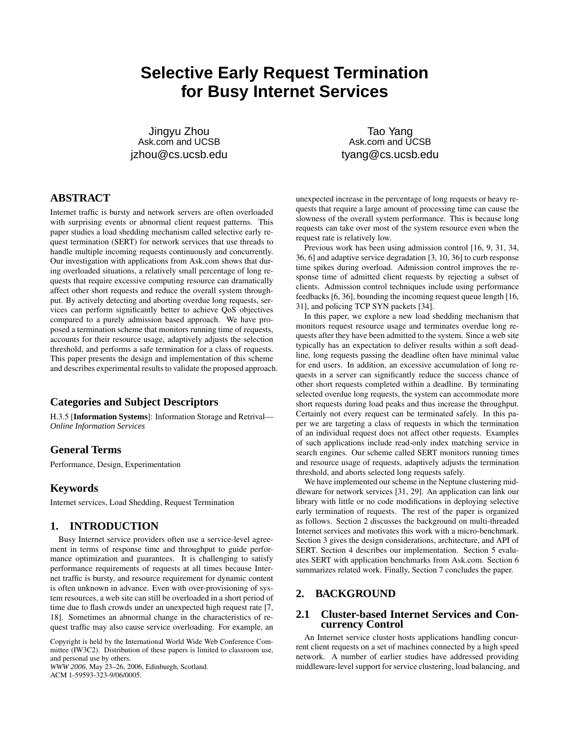# **Selective Early Request Termination for Busy Internet Services**

Jingyu Zhou Ask.com and UCSB jzhou@cs.ucsb.edu

Tao Yang Ask.com and UCSB tyang@cs.ucsb.edu

# **ABSTRACT**

Internet traffic is bursty and network servers are often overloaded with surprising events or abnormal client request patterns. This paper studies a load shedding mechanism called selective early request termination (SERT) for network services that use threads to handle multiple incoming requests continuously and concurrently. Our investigation with applications from Ask.com shows that during overloaded situations, a relatively small percentage of long requests that require excessive computing resource can dramatically affect other short requests and reduce the overall system throughput. By actively detecting and aborting overdue long requests, services can perform significantly better to achieve QoS objectives compared to a purely admission based approach. We have proposed a termination scheme that monitors running time of requests, accounts for their resource usage, adaptively adjusts the selection threshold, and performs a safe termination for a class of requests. This paper presents the design and implementation of this scheme and describes experimental results to validate the proposed approach.

### **Categories and Subject Descriptors**

H.3.5 [**Information Systems**]: Information Storage and Retrival— *Online Information Services*

### **General Terms**

Performance, Design, Experimentation

### **Keywords**

Internet services, Load Shedding, Request Termination

### **1. INTRODUCTION**

Busy Internet service providers often use a service-level agreement in terms of response time and throughput to guide performance optimization and guarantees. It is challenging to satisfy performance requirements of requests at all times because Internet traffic is bursty, and resource requirement for dynamic content is often unknown in advance. Even with over-provisioning of system resources, a web site can still be overloaded in a short period of time due to flash crowds under an unexpected high request rate [7, 18]. Sometimes an abnormal change in the characteristics of request traffic may also cause service overloading. For example, an

Copyright is held by the International World Wide Web Conference Committee (IW3C2). Distribution of these papers is limited to classroom use, and personal use by others.

*WWW 2006*, May 23–26, 2006, Edinburgh, Scotland. ACM 1-59593-323-9/06/0005.

unexpected increase in the percentage of long requests or heavy requests that require a large amount of processing time can cause the slowness of the overall system performance. This is because long requests can take over most of the system resource even when the request rate is relatively low.

Previous work has been using admission control [16, 9, 31, 34, 36, 6] and adaptive service degradation [3, 10, 36] to curb response time spikes during overload. Admission control improves the response time of admitted client requests by rejecting a subset of clients. Admission control techniques include using performance feedbacks [6, 36], bounding the incoming request queue length [16, 31], and policing TCP SYN packets [34].

In this paper, we explore a new load shedding mechanism that monitors request resource usage and terminates overdue long requests after they have been admitted to the system. Since a web site typically has an expectation to deliver results within a soft deadline, long requests passing the deadline often have minimal value for end users. In addition, an excessive accumulation of long requests in a server can significantly reduce the success chance of other short requests completed within a deadline. By terminating selected overdue long requests, the system can accommodate more short requests during load peaks and thus increase the throughput. Certainly not every request can be terminated safely. In this paper we are targeting a class of requests in which the termination of an individual request does not affect other requests. Examples of such applications include read-only index matching service in search engines. Our scheme called SERT monitors running times and resource usage of requests, adaptively adjusts the termination threshold, and aborts selected long requests safely.

We have implemented our scheme in the Neptune clustering middleware for network services [31, 29]. An application can link our library with little or no code modifications in deploying selective early termination of requests. The rest of the paper is organized as follows. Section 2 discusses the background on multi-threaded Internet services and motivates this work with a micro-benchmark. Section 3 gives the design considerations, architecture, and API of SERT. Section 4 describes our implementation. Section 5 evaluates SERT with application benchmarks from Ask.com. Section 6 summarizes related work. Finally, Section 7 concludes the paper.

### **2. BACKGROUND**

#### **2.1 Cluster-based Internet Services and Concurrency Control**

An Internet service cluster hosts applications handling concurrent client requests on a set of machines connected by a high speed network. A number of earlier studies have addressed providing middleware-level support for service clustering, load balancing, and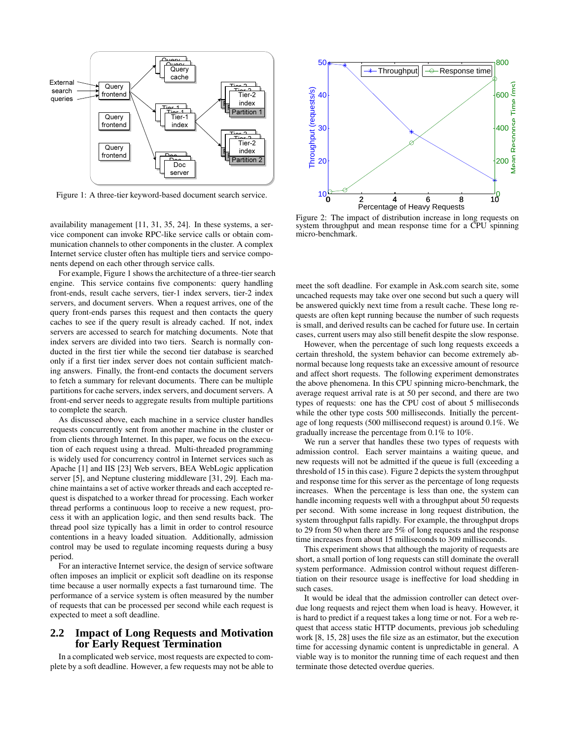

Figure 1: A three-tier keyword-based document search service.

availability management [11, 31, 35, 24]. In these systems, a service component can invoke RPC-like service calls or obtain communication channels to other components in the cluster. A complex Internet service cluster often has multiple tiers and service components depend on each other through service calls.

For example, Figure 1 shows the architecture of a three-tier search engine. This service contains five components: query handling front-ends, result cache servers, tier-1 index servers, tier-2 index servers, and document servers. When a request arrives, one of the query front-ends parses this request and then contacts the query caches to see if the query result is already cached. If not, index servers are accessed to search for matching documents. Note that index servers are divided into two tiers. Search is normally conducted in the first tier while the second tier database is searched only if a first tier index server does not contain sufficient matching answers. Finally, the front-end contacts the document servers to fetch a summary for relevant documents. There can be multiple partitions for cache servers, index servers, and document servers. A front-end server needs to aggregate results from multiple partitions to complete the search.

As discussed above, each machine in a service cluster handles requests concurrently sent from another machine in the cluster or from clients through Internet. In this paper, we focus on the execution of each request using a thread. Multi-threaded programming is widely used for concurrency control in Internet services such as Apache [1] and IIS [23] Web servers, BEA WebLogic application server [5], and Neptune clustering middleware [31, 29]. Each machine maintains a set of active worker threads and each accepted request is dispatched to a worker thread for processing. Each worker thread performs a continuous loop to receive a new request, process it with an application logic, and then send results back. The thread pool size typically has a limit in order to control resource contentions in a heavy loaded situation. Additionally, admission control may be used to regulate incoming requests during a busy period.

For an interactive Internet service, the design of service software often imposes an implicit or explicit soft deadline on its response time because a user normally expects a fast turnaround time. The performance of a service system is often measured by the number of requests that can be processed per second while each request is expected to meet a soft deadline.

### **2.2 Impact of Long Requests and Motivation for Early Request Termination**

In a complicated web service, most requests are expected to complete by a soft deadline. However, a few requests may not be able to



Figure 2: The impact of distribution increase in long requests on system throughput and mean response time for a CPU spinning micro-benchmark.

meet the soft deadline. For example in Ask.com search site, some uncached requests may take over one second but such a query will be answered quickly next time from a result cache. These long requests are often kept running because the number of such requests is small, and derived results can be cached for future use. In certain cases, current users may also still benefit despite the slow response.

However, when the percentage of such long requests exceeds a certain threshold, the system behavior can become extremely abnormal because long requests take an excessive amount of resource and affect short requests. The following experiment demonstrates the above phenomena. In this CPU spinning micro-benchmark, the average request arrival rate is at 50 per second, and there are two types of requests: one has the CPU cost of about 5 milliseconds while the other type costs 500 milliseconds. Initially the percentage of long requests (500 millisecond request) is around 0.1%. We gradually increase the percentage from 0.1% to 10%.

We run a server that handles these two types of requests with admission control. Each server maintains a waiting queue, and new requests will not be admitted if the queue is full (exceeding a threshold of 15 in this case). Figure 2 depicts the system throughput and response time for this server as the percentage of long requests increases. When the percentage is less than one, the system can handle incoming requests well with a throughput about 50 requests per second. With some increase in long request distribution, the system throughput falls rapidly. For example, the throughput drops to 29 from 50 when there are 5% of long requests and the response time increases from about 15 milliseconds to 309 milliseconds.

This experiment shows that although the majority of requests are short, a small portion of long requests can still dominate the overall system performance. Admission control without request differentiation on their resource usage is ineffective for load shedding in such cases.

It would be ideal that the admission controller can detect overdue long requests and reject them when load is heavy. However, it is hard to predict if a request takes a long time or not. For a web request that access static HTTP documents, previous job scheduling work [8, 15, 28] uses the file size as an estimator, but the execution time for accessing dynamic content is unpredictable in general. A viable way is to monitor the running time of each request and then terminate those detected overdue queries.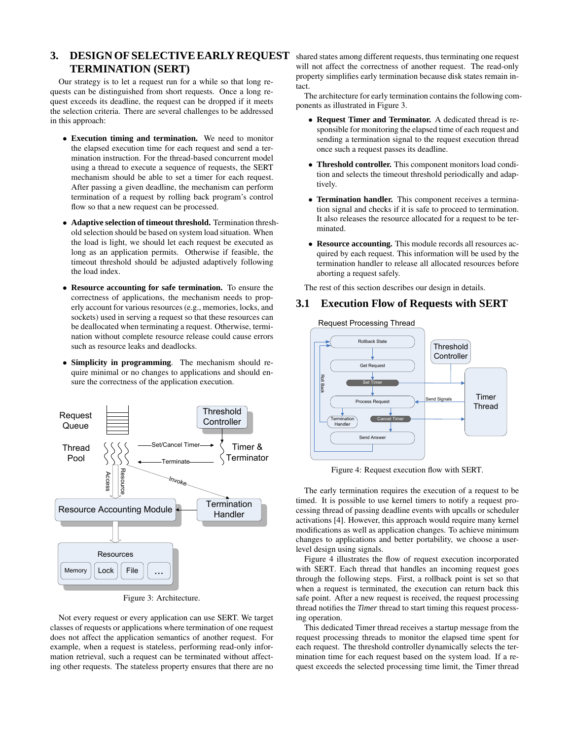## 3. DESIGN OF SELECTIVE EARLY REQUEST shared states among different requests, thus terminating one request **TERMINATION (SERT)**

Our strategy is to let a request run for a while so that long requests can be distinguished from short requests. Once a long request exceeds its deadline, the request can be dropped if it meets the selection criteria. There are several challenges to be addressed in this approach:

- **Execution timing and termination.** We need to monitor the elapsed execution time for each request and send a termination instruction. For the thread-based concurrent model using a thread to execute a sequence of requests, the SERT mechanism should be able to set a timer for each request. After passing a given deadline, the mechanism can perform termination of a request by rolling back program's control flow so that a new request can be processed.
- **Adaptive selection of timeout threshold.** Termination threshold selection should be based on system load situation. When the load is light, we should let each request be executed as long as an application permits. Otherwise if feasible, the timeout threshold should be adjusted adaptively following the load index.
- **Resource accounting for safe termination.** To ensure the correctness of applications, the mechanism needs to properly account for various resources (e.g., memories, locks, and sockets) used in serving a request so that these resources can be deallocated when terminating a request. Otherwise, termination without complete resource release could cause errors such as resource leaks and deadlocks.
- **Simplicity in programming**. The mechanism should require minimal or no changes to applications and should ensure the correctness of the application execution.



Figure 3: Architecture.

Not every request or every application can use SERT. We target classes of requests or applications where termination of one request does not affect the application semantics of another request. For example, when a request is stateless, performing read-only information retrieval, such a request can be terminated without affecting other requests. The stateless property ensures that there are no

will not affect the correctness of another request. The read-only property simplifies early termination because disk states remain intact.

The architecture for early termination contains the following components as illustrated in Figure 3.

- **Request Timer and Terminator.** A dedicated thread is responsible for monitoring the elapsed time of each request and sending a termination signal to the request execution thread once such a request passes its deadline.
- **Threshold controller.** This component monitors load condition and selects the timeout threshold periodically and adaptively.
- **Termination handler.** This component receives a termination signal and checks if it is safe to proceed to termination. It also releases the resource allocated for a request to be terminated.
- **Resource accounting.** This module records all resources acquired by each request. This information will be used by the termination handler to release all allocated resources before aborting a request safely.

The rest of this section describes our design in details.

### **3.1 Execution Flow of Requests with SERT**



Figure 4: Request execution flow with SERT.

The early termination requires the execution of a request to be timed. It is possible to use kernel timers to notify a request processing thread of passing deadline events with upcalls or scheduler activations [4]. However, this approach would require many kernel modifications as well as application changes. To achieve minimum changes to applications and better portability, we choose a userlevel design using signals.

Figure 4 illustrates the flow of request execution incorporated with SERT. Each thread that handles an incoming request goes through the following steps. First, a rollback point is set so that when a request is terminated, the execution can return back this safe point. After a new request is received, the request processing thread notifies the *Timer* thread to start timing this request processing operation.

This dedicated Timer thread receives a startup message from the request processing threads to monitor the elapsed time spent for each request. The threshold controller dynamically selects the termination time for each request based on the system load. If a request exceeds the selected processing time limit, the Timer thread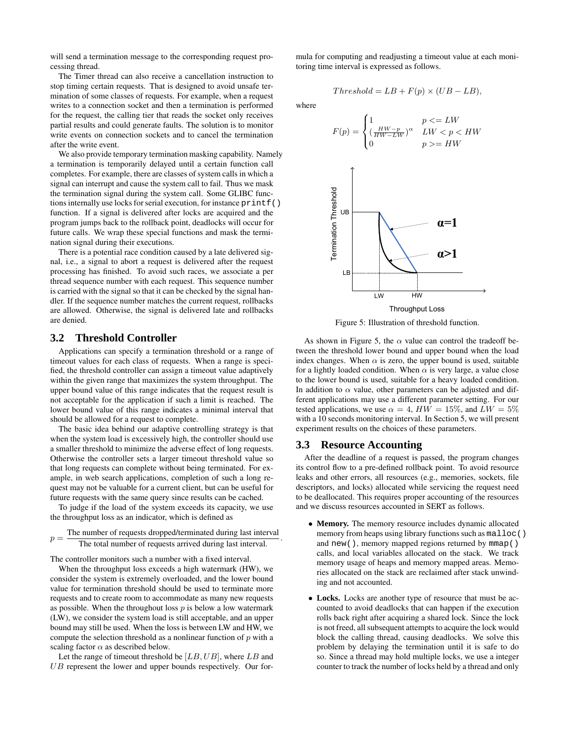will send a termination message to the corresponding request processing thread.

The Timer thread can also receive a cancellation instruction to stop timing certain requests. That is designed to avoid unsafe termination of some classes of requests. For example, when a request writes to a connection socket and then a termination is performed for the request, the calling tier that reads the socket only receives partial results and could generate faults. The solution is to monitor write events on connection sockets and to cancel the termination after the write event.

We also provide temporary termination masking capability. Namely a termination is temporarily delayed until a certain function call completes. For example, there are classes of system calls in which a signal can interrupt and cause the system call to fail. Thus we mask the termination signal during the system call. Some GLIBC functions internally use locks for serial execution, for instance  $print f()$ function. If a signal is delivered after locks are acquired and the program jumps back to the rollback point, deadlocks will occur for future calls. We wrap these special functions and mask the termination signal during their executions.

There is a potential race condition caused by a late delivered signal, i.e., a signal to abort a request is delivered after the request processing has finished. To avoid such races, we associate a per thread sequence number with each request. This sequence number is carried with the signal so that it can be checked by the signal handler. If the sequence number matches the current request, rollbacks are allowed. Otherwise, the signal is delivered late and rollbacks are denied.

### **3.2 Threshold Controller**

Applications can specify a termination threshold or a range of timeout values for each class of requests. When a range is specified, the threshold controller can assign a timeout value adaptively within the given range that maximizes the system throughput. The upper bound value of this range indicates that the request result is not acceptable for the application if such a limit is reached. The lower bound value of this range indicates a minimal interval that should be allowed for a request to complete.

The basic idea behind our adaptive controlling strategy is that when the system load is excessively high, the controller should use a smaller threshold to minimize the adverse effect of long requests. Otherwise the controller sets a larger timeout threshold value so that long requests can complete without being terminated. For example, in web search applications, completion of such a long request may not be valuable for a current client, but can be useful for future requests with the same query since results can be cached.

To judge if the load of the system exceeds its capacity, we use the throughput loss as an indicator, which is defined as

 $p =$ The number of requests dropped/terminated during last interval The total number of requests arrived during last interval. .

The controller monitors such a number with a fixed interval.

When the throughput loss exceeds a high watermark (HW), we consider the system is extremely overloaded, and the lower bound value for termination threshold should be used to terminate more requests and to create room to accommodate as many new requests as possible. When the throughout loss  $p$  is below a low watermark (LW), we consider the system load is still acceptable, and an upper bound may still be used. When the loss is between LW and HW, we compute the selection threshold as a nonlinear function of  $p$  with a scaling factor  $\alpha$  as described below.

Let the range of timeout threshold be  $[LB,UB]$ , where  $LB$  and  $UB$  represent the lower and upper bounds respectively. Our formula for computing and readjusting a timeout value at each monitoring time interval is expressed as follows.

 $Threshold = LB + F(p) \times (UB - LB),$ 

where

$$
F(p) = \begin{cases} 1 & p < = LW \\ (\frac{HW-p}{HW-LW})^{\alpha} & LW < p < HW \\ 0 & p > = HW \end{cases}
$$



Figure 5: Illustration of threshold function.

As shown in Figure 5, the  $\alpha$  value can control the tradeoff between the threshold lower bound and upper bound when the load index changes. When  $\alpha$  is zero, the upper bound is used, suitable for a lightly loaded condition. When  $\alpha$  is very large, a value close to the lower bound is used, suitable for a heavy loaded condition. In addition to  $\alpha$  value, other parameters can be adjusted and different applications may use a different parameter setting. For our tested applications, we use  $\alpha = 4$ ,  $HW = 15\%$ , and  $LW = 5\%$ with a 10 seconds monitoring interval. In Section 5, we will present experiment results on the choices of these parameters.

#### **3.3 Resource Accounting**

After the deadline of a request is passed, the program changes its control flow to a pre-defined rollback point. To avoid resource leaks and other errors, all resources (e.g., memories, sockets, file descriptors, and locks) allocated while servicing the request need to be deallocated. This requires proper accounting of the resources and we discuss resources accounted in SERT as follows.

- **Memory.** The memory resource includes dynamic allocated memory from heaps using library functions such as malloc() and new(), memory mapped regions returned by mmap() calls, and local variables allocated on the stack. We track memory usage of heaps and memory mapped areas. Memories allocated on the stack are reclaimed after stack unwinding and not accounted.
- **Locks.** Locks are another type of resource that must be accounted to avoid deadlocks that can happen if the execution rolls back right after acquiring a shared lock. Since the lock is not freed, all subsequent attempts to acquire the lock would block the calling thread, causing deadlocks. We solve this problem by delaying the termination until it is safe to do so. Since a thread may hold multiple locks, we use a integer counter to track the number of locks held by a thread and only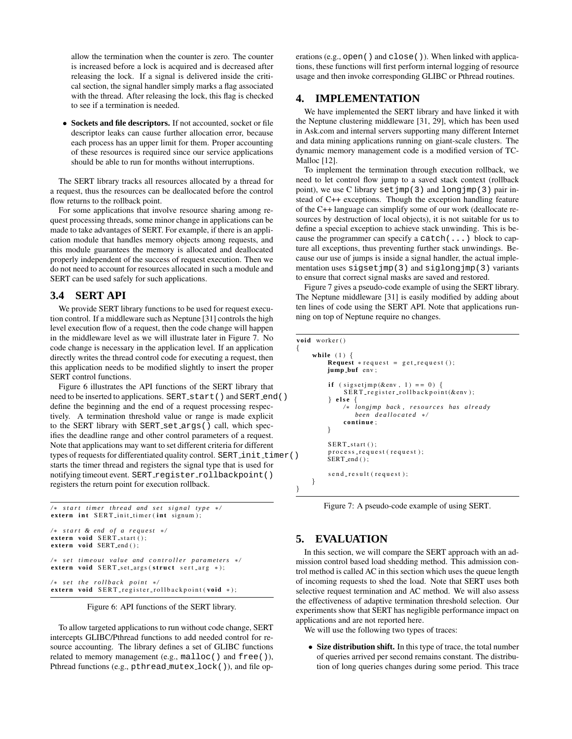allow the termination when the counter is zero. The counter is increased before a lock is acquired and is decreased after releasing the lock. If a signal is delivered inside the critical section, the signal handler simply marks a flag associated with the thread. After releasing the lock, this flag is checked to see if a termination is needed.

• **Sockets and file descriptors.** If not accounted, socket or file descriptor leaks can cause further allocation error, because each process has an upper limit for them. Proper accounting of these resources is required since our service applications should be able to run for months without interruptions.

The SERT library tracks all resources allocated by a thread for a request, thus the resources can be deallocated before the control flow returns to the rollback point.

For some applications that involve resource sharing among request processing threads, some minor change in applications can be made to take advantages of SERT. For example, if there is an application module that handles memory objects among requests, and this module guarantees the memory is allocated and deallocated properly independent of the success of request execution. Then we do not need to account for resources allocated in such a module and SERT can be used safely for such applications.

#### **3.4 SERT API**

We provide SERT library functions to be used for request execution control. If a middleware such as Neptune [31] controls the high level execution flow of a request, then the code change will happen in the middleware level as we will illustrate later in Figure 7. No code change is necessary in the application level. If an application directly writes the thread control code for executing a request, then this application needs to be modified slightly to insert the proper SERT control functions.

Figure 6 illustrates the API functions of the SERT library that need to be inserted to applications. SERT\_start() and SERT\_end() define the beginning and the end of a request processing respectively. A termination threshold value or range is made explicit to the SERT library with SERT set args() call, which specifies the deadline range and other control parameters of a request. Note that applications may want to set different criteria for different types of requests for differentiated quality control. SERT init timer() starts the timer thread and registers the signal type that is used for notifying timeout event. SERT register rollbackpoint() registers the return point for execution rollback.

 $/*$  start timer thread and set signal type  $*/$  $\frac{1}{2}$  **extern** int SERT init timer (int signum);

```
/∗ s t a r t & end o f a r e q u e st ∗/
extern void SERT_start ();
e x t e rn void SERT end ( ) ;
/* set timeout value and controller parameters
extern void SERT set args (struct sert arg *);
/∗ s e t t h e r o l l b a c k p o i n t ∗/
extern void SERT register rollbackpoint (void *);
```
Figure 6: API functions of the SERT library.

To allow targeted applications to run without code change, SERT intercepts GLIBC/Pthread functions to add needed control for resource accounting. The library defines a set of GLIBC functions related to memory management (e.g., malloc() and free()), Pthread functions (e.g., pthread mutex lock()), and file operations (e.g., open() and close()). When linked with applications, these functions will first perform internal logging of resource usage and then invoke corresponding GLIBC or Pthread routines.

### **4. IMPLEMENTATION**

We have implemented the SERT library and have linked it with the Neptune clustering middleware [31, 29], which has been used in Ask.com and internal servers supporting many different Internet and data mining applications running on giant-scale clusters. The dynamic memory management code is a modified version of TC-Malloc [12].

To implement the termination through execution rollback, we need to let control flow jump to a saved stack context (rollback point), we use C library setjmp(3) and longjmp(3) pair instead of C++ exceptions. Though the exception handling feature of the C++ language can simplify some of our work (deallocate resources by destruction of local objects), it is not suitable for us to define a special exception to achieve stack unwinding. This is because the programmer can specify a catch(...) block to capture all exceptions, thus preventing further stack unwindings. Because our use of jumps is inside a signal handler, the actual implementation uses sigsetjmp(3) and siglongjmp(3) variants to ensure that correct signal masks are saved and restored.

Figure 7 gives a pseudo-code example of using the SERT library. The Neptune middleware [31] is easily modified by adding about ten lines of code using the SERT API. Note that applications running on top of Neptune require no changes.

```
void worker ( )
    while (1) {

         jump buf env ;
         if (sigsetjmp(&env, 1) == 0) {
              SERT register rollbackpoint (&env);
         } e ls e {
              /∗ longjmp back , r e s o u r c e s has a lr e a d y
                 been d e a l l o c a t e d ∗/
              c ontinue ;
         }
         SERT_start():
         p r o c e s s _ r e q u e s t ( r e q u e s t);
         SERT end ();
         s e n d_r e s u l t (r e q u e s t);
    }
```
Figure 7: A pseudo-code example of using SERT.

### **5. EVALUATION**

{

}

In this section, we will compare the SERT approach with an admission control based load shedding method. This admission control method is called AC in this section which uses the queue length of incoming requests to shed the load. Note that SERT uses both selective request termination and AC method. We will also assess the effectiveness of adaptive termination threshold selection. Our experiments show that SERT has negligible performance impact on applications and are not reported here.

We will use the following two types of traces:

• **Size distribution shift.** In this type of trace, the total number of queries arrived per second remains constant. The distribution of long queries changes during some period. This trace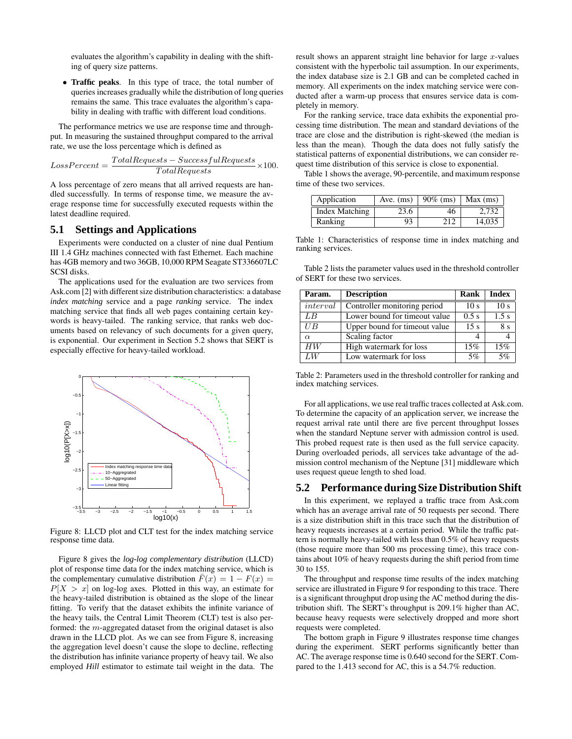evaluates the algorithm's capability in dealing with the shifting of query size patterns.

• **Traffic peaks**. In this type of trace, the total number of queriesincreases gradually while the distribution of long queries remains the same. This trace evaluates the algorithm's capability in dealing with traffic with different load conditions.

The performance metrics we use are response time and throughput. In measuring the sustained throughput compared to the arrival rate, we use the loss percentage which is defined as

$$
LossPercent = \frac{TotalRequests - SuccessfulRequests}{TotalRequests} \times 100.
$$

A loss percentage of zero means that all arrived requests are handled successfully. In terms of response time, we measure the average response time for successfully executed requests within the latest deadline required.

### **5.1 Settings and Applications**

Experiments were conducted on a cluster of nine dual Pentium III 1.4 GHz machines connected with fast Ethernet. Each machine has 4GB memory and two 36GB, 10,000 RPM Seagate ST336607LC SCSI disks.

The applications used for the evaluation are two services from Ask.com [2] with different size distribution characteristics: a database *index matching* service and a page *ranking* service. The index matching service that finds all web pages containing certain keywords is heavy-tailed. The ranking service, that ranks web documents based on relevancy of such documents for a given query, is exponential. Our experiment in Section 5.2 shows that SERT is especially effective for heavy-tailed workload.



Figure 8: LLCD plot and CLT test for the index matching service response time data.

Figure 8 gives the *log-log complementary distribution* (LLCD) plot of response time data for the index matching service, which is the complementary cumulative distribution  $\bar{F}(x) = 1 - F(x) =$  $P[X > x]$  on log-log axes. Plotted in this way, an estimate for the heavy-tailed distribution is obtained as the slope of the linear fitting. To verify that the dataset exhibits the infinite variance of the heavy tails, the Central Limit Theorem (CLT) test is also performed: the m-aggregated dataset from the original dataset is also drawn in the LLCD plot. As we can see from Figure 8, increasing the aggregation level doesn't cause the slope to decline, reflecting the distribution has infinite variance property of heavy tail. We also employed *Hill* estimator to estimate tail weight in the data. The result shows an apparent straight line behavior for large  $x$ -values consistent with the hyperbolic tail assumption. In our experiments, the index database size is 2.1 GB and can be completed cached in memory. All experiments on the index matching service were conducted after a warm-up process that ensures service data is completely in memory.

For the ranking service, trace data exhibits the exponential processing time distribution. The mean and standard deviations of the trace are close and the distribution is right-skewed (the median is less than the mean). Though the data does not fully satisfy the statistical patterns of exponential distributions, we can consider request time distribution of this service is close to exponential.

Table 1 shows the average, 90-percentile, and maximum response time of these two services.

| Application    | Ave. $(ms)$ | $90\%$ (ms) | Max (ms) |
|----------------|-------------|-------------|----------|
| Index Matching | 23.6        | 46          | 2.732    |
| Ranking        | 93          | 212         | 14.035   |

Table 1: Characteristics of response time in index matching and ranking services.

Table 2 lists the parameter values used in the threshold controller of SERT for these two services.

| Param.   | <b>Description</b>            | Rank            | Index           |
|----------|-------------------------------|-----------------|-----------------|
| interval | Controller monitoring period  | 10 <sub>s</sub> | 10 <sub>s</sub> |
| LB       | Lower bound for timeout value | $0.5$ s         | 1.5 s           |
| $U$ $B$  | Upper bound for timeout value | 15 <sub>s</sub> | 8 s             |
| $\alpha$ | Scaling factor                |                 |                 |
| HW       | High watermark for loss       | 15%             | 15%             |
| LW       | Low watermark for loss        | 5%              | 5%              |

Table 2: Parameters used in the threshold controller for ranking and index matching services.

For all applications, we use real traffic traces collected at Ask.com. To determine the capacity of an application server, we increase the request arrival rate until there are five percent throughput losses when the standard Neptune server with admission control is used. This probed request rate is then used as the full service capacity. During overloaded periods, all services take advantage of the admission control mechanism of the Neptune [31] middleware which uses request queue length to shed load.

### **5.2 Performance during Size Distribution Shift**

In this experiment, we replayed a traffic trace from Ask.com which has an average arrival rate of 50 requests per second. There is a size distribution shift in this trace such that the distribution of heavy requests increases at a certain period. While the traffic pattern is normally heavy-tailed with less than 0.5% of heavy requests (those require more than 500 ms processing time), this trace contains about 10% of heavy requests during the shift period from time 30 to 155.

The throughput and response time results of the index matching service are illustrated in Figure 9 for responding to this trace. There is a significant throughput drop using the AC method during the distribution shift. The SERT's throughput is 209.1% higher than AC, because heavy requests were selectively dropped and more short requests were completed.

The bottom graph in Figure 9 illustrates response time changes during the experiment. SERT performs significantly better than AC. The average response time is 0.640 second for the SERT. Compared to the 1.413 second for AC, this is a 54.7% reduction.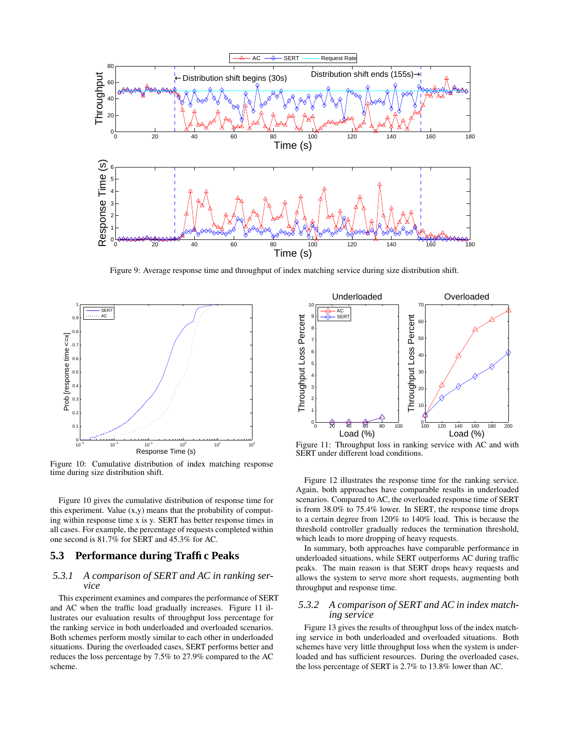

Figure 9: Average response time and throughput of index matching service during size distribution shift.



Figure 10: Cumulative distribution of index matching response time during size distribution shift.

Figure 10 gives the cumulative distribution of response time for this experiment. Value  $(x,y)$  means that the probability of computing within response time x is y. SERT has better response times in all cases. For example, the percentage of requests completed within one second is 81.7% for SERT and 45.3% for AC.

### **5.3 Performance during Traffic Peaks**

### *5.3.1 A comparison of SERT and AC in ranking service*

This experiment examines and compares the performance of SERT and AC when the traffic load gradually increases. Figure 11 illustrates our evaluation results of throughput loss percentage for the ranking service in both underloaded and overloaded scenarios. Both schemes perform mostly similar to each other in underloaded situations. During the overloaded cases, SERT performs better and reduces the loss percentage by 7.5% to 27.9% compared to the AC scheme.



Figure 11: Throughput loss in ranking service with AC and with SERT under different load conditions.

Figure 12 illustrates the response time for the ranking service. Again, both approaches have comparable results in underloaded scenarios. Compared to AC, the overloaded response time of SERT is from 38.0% to 75.4% lower. In SERT, the response time drops to a certain degree from 120% to 140% load. This is because the threshold controller gradually reduces the termination threshold, which leads to more dropping of heavy requests.

In summary, both approaches have comparable performance in underloaded situations, while SERT outperforms AC during traffic peaks. The main reason is that SERT drops heavy requests and allows the system to serve more short requests, augmenting both throughput and response time.

#### *5.3.2 A comparison of SERT and AC in index matching service*

Figure 13 gives the results of throughput loss of the index matching service in both underloaded and overloaded situations. Both schemes have very little throughput loss when the system is underloaded and has sufficient resources. During the overloaded cases, the loss percentage of SERT is 2.7% to 13.8% lower than AC.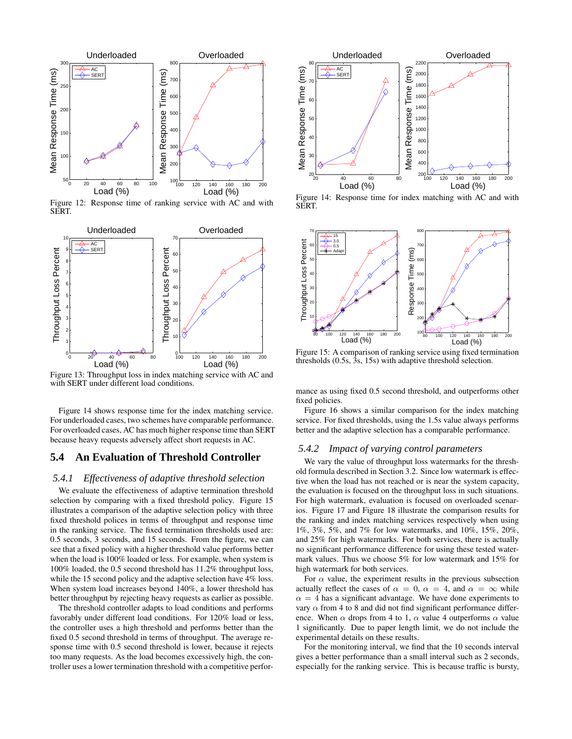

Figure 12: Response time of ranking service with AC and with SERT.



Figure 13: Throughput loss in index matching service with AC and with SERT under different load conditions.

Figure 14 shows response time for the index matching service. For underloaded cases, two schemes have comparable performance. For overloaded cases, AC has much higher response time than SERT because heavy requests adversely affect short requests in AC.

### **5.4 An Evaluation of Threshold Controller**

### *5.4.1 Effectiveness of adaptive threshold selection*

We evaluate the effectiveness of adaptive termination threshold selection by comparing with a fixed threshold policy. Figure 15 illustrates a comparison of the adaptive selection policy with three fixed threshold polices in terms of throughput and response time in the ranking service. The fixed termination thresholds used are: 0.5 seconds, 3 seconds, and 15 seconds. From the figure, we can see that a fixed policy with a higher threshold value performs better when the load is 100% loaded or less. For example, when system is 100% loaded, the 0.5 second threshold has 11.2% throughput loss, while the 15 second policy and the adaptive selection have 4% loss. When system load increases beyond 140%, a lower threshold has better throughput by rejecting heavy requests as earlier as possible.

The threshold controller adapts to load conditions and performs favorably under different load conditions. For 120% load or less, the controller uses a high threshold and performs better than the fixed 0.5 second threshold in terms of throughput. The average response time with 0.5 second threshold is lower, because it rejects too many requests. As the load becomes excessively high, the controller uses a lower termination threshold with a competitive perfor-



Figure 14: Response time for index matching with AC and with SERT.



Figure 15: A comparison of ranking service using fixed termination thresholds (0.5s, 3s, 15s) with adaptive threshold selection.

mance as using fixed 0.5 second threshold, and outperforms other fixed policies.

Figure 16 shows a similar comparison for the index matching service. For fixed thresholds, using the 1.5s value always performs better and the adaptive selection has a comparable performance.

#### *5.4.2 Impact of varying control parameters*

We vary the value of throughput loss watermarks for the threshold formula described in Section 3.2. Since low watermark is effective when the load has not reached or is near the system capacity, the evaluation is focused on the throughput loss in such situations. For high watermark, evaluation is focused on overloaded scenarios. Figure 17 and Figure 18 illustrate the comparison results for the ranking and index matching services respectively when using 1%, 3%, 5%, and 7% for low watermarks, and 10%, 15%, 20%, and 25% for high watermarks. For both services, there is actually no significant performance difference for using these tested watermark values. Thus we choose 5% for low watermark and 15% for high watermark for both services.

For  $\alpha$  value, the experiment results in the previous subsection actually reflect the cases of  $\alpha = 0$ ,  $\alpha = 4$ , and  $\alpha = \infty$  while  $\alpha = 4$  has a significant advantage. We have done experiments to vary  $\alpha$  from 4 to 8 and did not find significant performance difference. When  $\alpha$  drops from 4 to 1,  $\alpha$  value 4 outperforms  $\alpha$  value 1 significantly. Due to paper length limit, we do not include the experimental details on these results.

For the monitoring interval, we find that the 10 seconds interval gives a better performance than a small interval such as 2 seconds, especially for the ranking service. This is because traffic is bursty,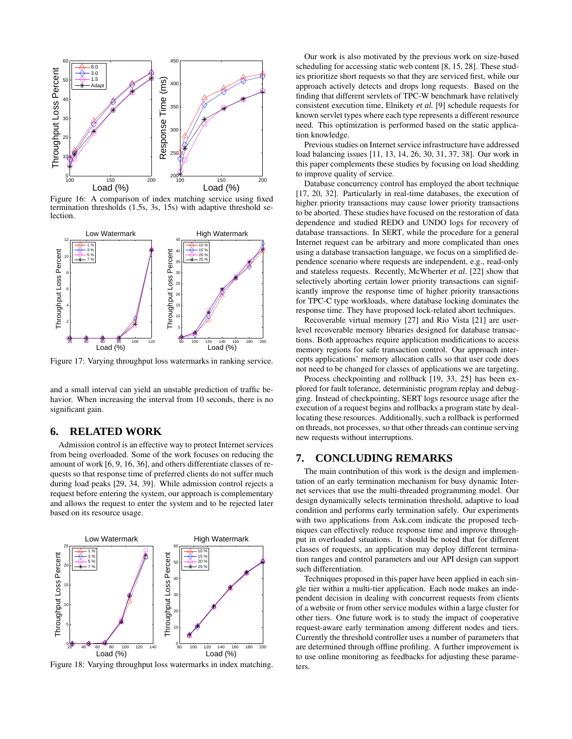

Figure 16: A comparison of index matching service using fixed termination thresholds (1.5s, 3s, 15s) with adaptive threshold selection.



Figure 17: Varying throughput loss watermarks in ranking service.

and a small interval can yield an unstable prediction of traffic behavior. When increasing the interval from 10 seconds, there is no significant gain.

### **6. RELATED WORK**

Admission control is an effective way to protect Internet services from being overloaded. Some of the work focuses on reducing the amount of work [6, 9, 16, 36], and others differentiate classes of requests so that response time of preferred clients do not suffer much during load peaks [29, 34, 39]. While admission control rejects a request before entering the system, our approach is complementary and allows the request to enter the system and to be rejected later based on its resource usage.



Figure 18: Varying throughput loss watermarks in index matching.

Our work is also motivated by the previous work on size-based scheduling for accessing static web content [8, 15, 28]. These studies prioritize short requests so that they are serviced first, while our approach actively detects and drops long requests. Based on the finding that different servlets of TPC-W benchmark have relatively consistent execution time, Elnikety *et al.* [9] schedule requests for known servlet types where each type represents a different resource need. This optimization is performed based on the static application knowledge.

Previous studies on Internet service infrastructure have addressed load balancing issues [11, 13, 14, 26, 30, 31, 37, 38]. Our work in this paper complements these studies by focusing on load shedding to improve quality of service.

Database concurrency control has employed the abort technique [17, 20, 32]. Particularly in real-time databases, the execution of higher priority transactions may cause lower priority transactions to be aborted. These studies have focused on the restoration of data dependence and studied REDO and UNDO logs for recovery of database transactions. In SERT, while the procedure for a general Internet request can be arbitrary and more complicated than ones using a database transaction language, we focus on a simplified dependence scenario where requests are independent, e.g., read-only and stateless requests. Recently, McWherter *et al.* [22] show that selectively aborting certain lower priority transactions can significantly improve the response time of higher priority transactions for TPC-C type workloads, where database locking dominates the response time. They have proposed lock-related abort techniques.

Recoverable virtual memory [27] and Rio Vista [21] are userlevel recoverable memory libraries designed for database transactions. Both approaches require application modifications to access memory regions for safe transaction control. Our approach intercepts applications' memory allocation calls so that user code does not need to be changed for classes of applications we are targeting.

Process checkpointing and rollback [19, 33, 25] has been explored for fault tolerance, deterministic program replay and debugging. Instead of checkpointing, SERT logs resource usage after the execution of a request begins and rollbacks a program state by deallocating these resources. Additionally, such a rollback is performed on threads, not processes, so that other threads can continue serving new requests without interruptions.

### **7. CONCLUDING REMARKS**

The main contribution of this work is the design and implementation of an early termination mechanism for busy dynamic Internet services that use the multi-threaded programming model. Our design dynamically selects termination threshold, adaptive to load condition and performs early termination safely. Our experiments with two applications from Ask.com indicate the proposed techniques can effectively reduce response time and improve throughput in overloaded situations. It should be noted that for different classes of requests, an application may deploy different termination ranges and control parameters and our API design can support such differentiation.

Techniques proposed in this paper have been applied in each single tier within a multi-tier application. Each node makes an independent decision in dealing with concurrent requests from clients of a website or from other service modules within a large cluster for other tiers. One future work is to study the impact of cooperative request-aware early termination among different nodes and tiers. Currently the threshold controller uses a number of parameters that are determined through offline profiling. A further improvement is to use online monitoring as feedbacks for adjusting these parameters.